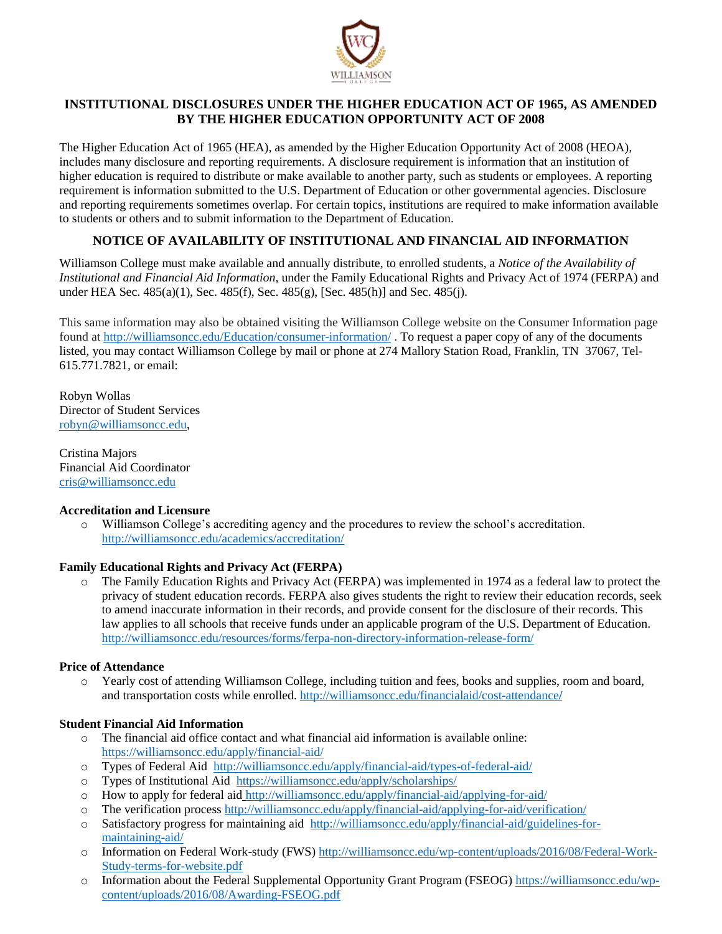

# **INSTITUTIONAL DISCLOSURES UNDER THE HIGHER EDUCATION ACT OF 1965, AS AMENDED BY THE HIGHER EDUCATION OPPORTUNITY ACT OF 2008**

The Higher Education Act of 1965 (HEA), as amended by the Higher Education Opportunity Act of 2008 (HEOA), includes many disclosure and reporting requirements. A disclosure requirement is information that an institution of higher education is required to distribute or make available to another party, such as students or employees. A reporting requirement is information submitted to the U.S. Department of Education or other governmental agencies. Disclosure and reporting requirements sometimes overlap. For certain topics, institutions are required to make information available to students or others and to submit information to the Department of Education.

# **NOTICE OF AVAILABILITY OF INSTITUTIONAL AND FINANCIAL AID INFORMATION**

Williamson College must make available and annually distribute, to enrolled students, a *Notice of the Availability of Institutional and Financial Aid Information*, under the Family Educational Rights and Privacy Act of 1974 (FERPA) and under HEA Sec. 485(a)(1), Sec. 485(f), Sec. 485(g), [Sec. 485(h)] and Sec. 485(j).

This same information may also be obtained visiting the Williamson College website on the Consumer Information page found a[t http://williamsoncc.edu/Education/consumer-information/](http://williamsoncc.edu/Education/consumer-information/). To request a paper copy of any of the documents listed, you may contact Williamson College by mail or phone at 274 Mallory Station Road, Franklin, TN 37067, Tel-615.771.7821, or email:

Robyn Wollas Director of Student Services [robyn@williamsoncc.edu,](mailto:robyn@williamsoncc.edu)

Cristina Majors Financial Aid Coordinator [cris@williamsoncc.edu](mailto:cris@williamsoncc.edu)

## **Accreditation and Licensure**

o Williamson College's accrediting agency and the procedures to review the school's accreditation. <http://williamsoncc.edu/academics/accreditation/>

## **Family Educational Rights and Privacy Act (FERPA)**

o The Family Education Rights and Privacy Act (FERPA) was implemented in 1974 as a federal law to protect the privacy of student education records. FERPA also gives students the right to review their education records, seek to amend inaccurate information in their records, and provide consent for the disclosure of their records. This law applies to all schools that receive funds under an applicable program of the U.S. Department of Education. <http://williamsoncc.edu/resources/forms/ferpa-non-directory-information-release-form/>

## **Price of Attendance**

o Yearly cost of attending Williamson College, including tuition and fees, books and supplies, room and board, and transportation costs while enrolled. [http://williamsoncc.edu/financialaid/cost-attendance](http://williamsoncc.edu/financialaid/cost-attendance/)**/**

## **Student Financial Aid Information**

- $\circ$  The financial aid office contact and what financial aid information is available online: <https://williamsoncc.edu/apply/financial-aid/>
- o Types of Federal Aid <http://williamsoncc.edu/apply/financial-aid/types-of-federal-aid/>
- o Types of Institutional Aid <https://williamsoncc.edu/apply/scholarships/>
- o How to apply for federal aid <http://williamsoncc.edu/apply/financial-aid/applying-for-aid/>
- o The verification process <http://williamsoncc.edu/apply/financial-aid/applying-for-aid/verification/>
- o Satisfactory progress for maintaining aid [http://williamsoncc.edu/apply/financial-aid/guidelines-for](http://williamsoncc.edu/apply/financial-aid/guidelines-for-maintaining-aid/)[maintaining-aid/](http://williamsoncc.edu/apply/financial-aid/guidelines-for-maintaining-aid/)
- o Information on Federal Work-study (FWS) [http://williamsoncc.edu/wp-content/uploads/2016/08/Federal-Work-](http://williamsoncc.edu/wp-content/uploads/2016/08/Federal-Work-Study-terms-for-website.pdf)[Study-terms-for-website.pdf](http://williamsoncc.edu/wp-content/uploads/2016/08/Federal-Work-Study-terms-for-website.pdf)
- o Information about the Federal Supplemental Opportunity Grant Program (FSEOG) [https://williamsoncc.edu/wp](https://williamsoncc.edu/wp-content/uploads/2016/08/Awarding-FSEOG.pdf)[content/uploads/2016/08/Awarding-FSEOG.pdf](https://williamsoncc.edu/wp-content/uploads/2016/08/Awarding-FSEOG.pdf)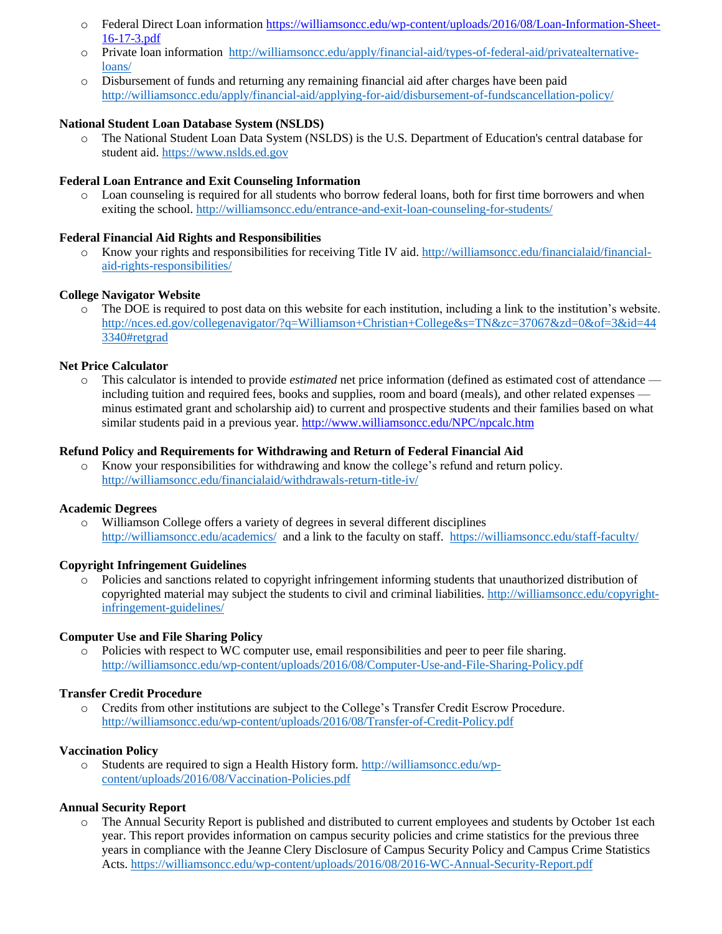- o Federal Direct Loan information [https://williamsoncc.edu/wp-content/uploads/2016/08/Loan-Information-Sheet-](https://williamsoncc.edu/wp-content/uploads/2016/08/Loan-Information-Sheet-16-17-3.pdf)[16-17-3.pdf](https://williamsoncc.edu/wp-content/uploads/2016/08/Loan-Information-Sheet-16-17-3.pdf)
- o Private loan information [http://williamsoncc.edu/apply/financial-aid/types-of-federal-aid/privatealternative](http://williamsoncc.edu/apply/financial-aid/types-of-federal-aid/privatealternative-loans/)[loans/](http://williamsoncc.edu/apply/financial-aid/types-of-federal-aid/privatealternative-loans/)
- o Disbursement of funds and returning any remaining financial aid after charges have been paid <http://williamsoncc.edu/apply/financial-aid/applying-for-aid/disbursement-of-fundscancellation-policy/>

## **National Student Loan Database System (NSLDS)**

o The National Student Loan Data System (NSLDS) is the U.S. Department of Education's central database for student aid. [https://www.nslds.ed.gov](https://www.nslds.ed.gov/nslds/nslds_SA/)

### **Federal Loan Entrance and Exit Counseling Information**

o Loan counseling is required for all students who borrow federal loans, both for first time borrowers and when exiting the school. <http://williamsoncc.edu/entrance-and-exit-loan-counseling-for-students/>

### **Federal Financial Aid Rights and Responsibilities**

o Know your rights and responsibilities for receiving Title IV aid. [http://williamsoncc.edu/financialaid/financial](http://williamsoncc.edu/financialaid/financial-aid-rights-responsibilities/)[aid-rights-responsibilities/](http://williamsoncc.edu/financialaid/financial-aid-rights-responsibilities/)

### **College Navigator Website**

o The DOE is required to post data on this website for each institution, including a link to the institution's website. [http://nces.ed.gov/collegenavigator/?q=Williamson+Christian+College&s=TN&zc=37067&zd=0&of=3&id=44](http://nces.ed.gov/collegenavigator/?q=Williamson+Christian+College&s=TN&zc=37067&zd=0&of=3&id=443340#retgrad) [3340#retgrad](http://nces.ed.gov/collegenavigator/?q=Williamson+Christian+College&s=TN&zc=37067&zd=0&of=3&id=443340#retgrad)

### **Net Price Calculator**

This calculator is intended to provide *estimated* net price information (defined as estimated cost of attendance including tuition and required fees, books and supplies, room and board (meals), and other related expenses minus estimated grant and scholarship aid) to current and prospective students and their families based on what similar students paid in a previous year. <http://www.williamsoncc.edu/NPC/npcalc.htm>

#### **Refund Policy and Requirements for Withdrawing and Return of Federal Financial Aid**

o Know your responsibilities for withdrawing and know the college's refund and return policy. <http://williamsoncc.edu/financialaid/withdrawals-return-title-iv/>

# **Academic Degrees**

o Williamson College offers a variety of degrees in several different disciplines <http://williamsoncc.edu/academics/>and a link to the faculty on staff. <https://williamsoncc.edu/staff-faculty/>

#### **Copyright Infringement Guidelines**

o Policies and sanctions related to copyright infringement informing students that unauthorized distribution of copyrighted material may subject the students to civil and criminal liabilities. [http://williamsoncc.edu/copyright](http://williamsoncc.edu/copyright-infringement-guidelines/)[infringement-guidelines/](http://williamsoncc.edu/copyright-infringement-guidelines/)

#### **Computer Use and File Sharing Policy**

o Policies with respect to WC computer use, email responsibilities and peer to peer file sharing. <http://williamsoncc.edu/wp-content/uploads/2016/08/Computer-Use-and-File-Sharing-Policy.pdf>

#### **Transfer Credit Procedure**

o Credits from other institutions are subject to the College's Transfer Credit Escrow Procedure. <http://williamsoncc.edu/wp-content/uploads/2016/08/Transfer-of-Credit-Policy.pdf>

#### **Vaccination Policy**

o Students are required to sign a Health History form. [http://williamsoncc.edu/wp](http://williamsoncc.edu/wp-content/uploads/2016/08/Vaccination-Policies.pdf)[content/uploads/2016/08/Vaccination-Policies.pdf](http://williamsoncc.edu/wp-content/uploads/2016/08/Vaccination-Policies.pdf)

#### **Annual Security Report**

o The Annual Security Report is published and distributed to current employees and students by October 1st each year. This report provides information on campus security policies and crime statistics for the previous three years in compliance with the Jeanne Clery Disclosure of Campus Security Policy and Campus Crime Statistics Acts.<https://williamsoncc.edu/wp-content/uploads/2016/08/2016-WC-Annual-Security-Report.pdf>